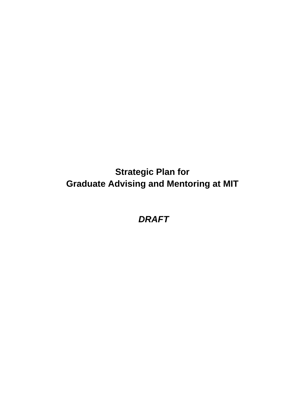**Strategic Plan for Graduate Advising and Mentoring at MIT**

*DRAFT*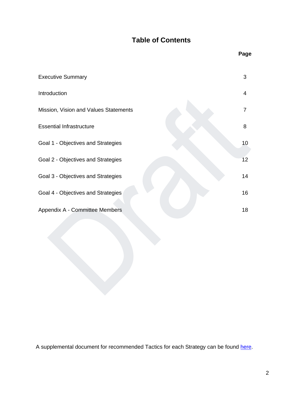# **Table of Contents**

|                                       | Page           |
|---------------------------------------|----------------|
| <b>Executive Summary</b>              | 3              |
| Introduction                          | 4              |
| Mission, Vision and Values Statements | $\overline{7}$ |
| <b>Essential Infrastructure</b>       | 8              |
| Goal 1 - Objectives and Strategies    | 10             |
| Goal 2 - Objectives and Strategies    | 12             |
| Goal 3 - Objectives and Strategies    | 14             |
| Goal 4 - Objectives and Strategies    | 16             |
| Appendix A - Committee Members        | 18             |

A supplemental document for recommended Tactics for each Strategy can be found [here.](https://gradadvisingmentoring.mit.edu/sites/default/files/media/documents/2022-04/supplemental-document-to-the-draft-strategic-plan-for-graduate-advising-and-mentoring.pdf)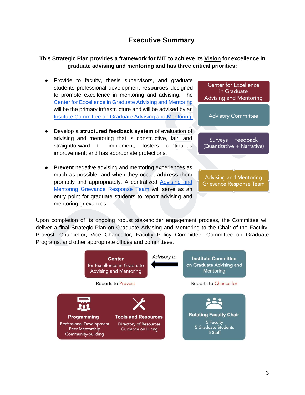# **Executive Summary**

## <span id="page-2-0"></span>**This Strategic Plan provides a framework for MIT to achieve its [Vision](#page-6-0) for excellence in graduate advising and mentoring and has three critical priorities:**

- Provide to faculty, thesis supervisors, and graduate students professional development **resources** designed to promote excellence in mentoring and advising. The [Center for Excellence](#page-7-0) in Graduate Advising and Mentoring will be the primary infrastructure and will be advised by an Institute [Committee on Graduate Advising and](#page-7-0) Mentoring.
- Develop a **structured feedback system** of evaluation of advising and mentoring that is constructive, fair, and straightforward to implement; fosters continuous improvement; and has appropriate protections.
- **Prevent** negative advising and mentoring experiences as much as possible, and when they occur, **address** them promptly and appropriately. A centralized [Advising and](#page-8-0) [Mentoring Grievance Response](#page-8-0) Team will serve as an entry point for graduate students to report advising and mentoring grievances.



**Advising and Mentoring** Grievance Response Team

Upon completion of its ongoing robust stakeholder engagement process, the Committee will deliver a final Strategic Plan on Graduate Advising and Mentoring to the Chair of the Faculty, Provost, Chancellor, Vice Chancellor, Faculty Policy Committee, Committee on Graduate Programs, and other appropriate offices and committees.

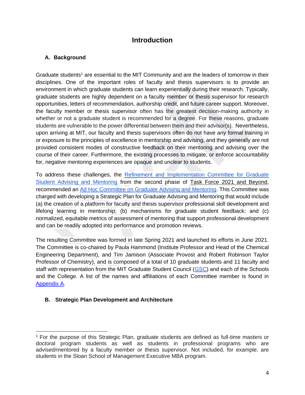# **Introduction**

# <span id="page-3-0"></span>**A. Background**

Graduate students<sup>1</sup> are essential to the MIT Community and are the leaders of tomorrow in their disciplines. One of the important roles of faculty and thesis supervisors is to provide an environment in which graduate students can learn experientially during their research. Typically, graduate students are highly dependent on a faculty member or thesis supervisor for research opportunities, letters of recommendation, authorship credit, and future career support. Moreover, the faculty member or thesis supervisor often has the greatest decision-making authority in whether or not a graduate student is recommended for a degree. For these reasons, graduate students are vulnerable to the power differential between them and their advisor(s). Nevertheless, upon arriving at MIT, our faculty and thesis supervisors often do not have any formal training in or exposure to the principles of excellence in mentorship and advising, and they generally are not provided consistent modes of constructive feedback on their mentoring and advising over the course of their career. Furthermore, the existing processes to mitigate, or enforce accountability for, negative mentoring experiences are opaque and unclear to students.

To address these challenges, the Refinement and [Implementation Committee](https://tf2021.mit.edu/report/graduate-student-advising-and-mentoring) for Graduate Student [Advising and](https://tf2021.mit.edu/report/graduate-student-advising-and-mentoring) Mentoring from the second phase of [Task Force 2021 and](https://tf2021.mit.edu/) Beyond, recommended an [Ad Hoc Committee on Graduate Advising and](https://gradadvisingmentoring.mit.edu/) Mentoring. This Committee was charged with developing a Strategic Plan for Graduate Advising and Mentoring that would include (a) the creation of a platform for faculty and thesis supervisor professional skill development and lifelong learning in mentorship; (b) mechanisms for graduate student feedback; and (c) normalized, equitable metrics of assessment of mentoring that support professional development and can be readily adopted into performance and promotion reviews.

The resulting Committee was formed in late Spring 2021 and launched its efforts in June 2021. The Committee is co-chaired by Paula Hammond (Institute Professor and Head of the Chemical Engineering Department), and Tim Jamison (Associate Provost and Robert Robinson Taylor Professor of Chemistry), and is composed of a total of 10 graduate students and 11 faculty and staff with representation from the MIT Graduate Student Council [\(GSC\)](https://gsc.mit.edu/) and each of the Schools and the College. A list of the names and affiliations of each Committee member is found in [Appendix A.](#page-17-0) 

## **B. Strategic Plan Development and Architecture**

<sup>&</sup>lt;sup>1</sup> For the purpose of this Strategic Plan, graduate students are defined as full-time masters or doctoral program students as well as students in professional programs who are advised/mentored by a faculty member or thesis supervisor. Not included, for example, are students in the Sloan School of Management Executive MBA program.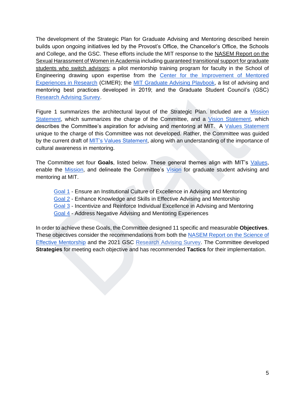The development of the Strategic Plan for Graduate Advising and Mentoring described herein builds upon ongoing initiatives led by the Provost's Office, the Chancellor's Office, the Schools and College, and the GSC. These efforts include the MIT response to the [NASEM Report on the](https://www.nap.edu/read/24994/chapter/1)  Sexual [Harassment of Women](https://www.nap.edu/read/24994/chapter/1) in Academia including [guaranteed transitional](https://oge.mit.edu/finances/financial-assist/guaranteed-transitional-support/) support for graduate students [who switch](https://oge.mit.edu/finances/financial-assist/guaranteed-transitional-support/) advisors; a pilot mentorship training program for faculty in the School of Engineering drawing upon expertise from the Center for the [Improvement of Mentored](https://cimerproject.org/) [Experiences in](https://cimerproject.org/) Research (CIMER); the [MIT Graduate Advising Playbook,](https://drive.google.com/file/d/1tKU6whET8fEZlJbPJI5XjN6Kn5OQfCl4/view) a list of advising and mentoring best practices developed in 2019; and the Graduate Student Council's (GSC) [Research Advising Survey.](https://gsc.mit.edu/wp-content/uploads/2021/04/MITAdvising2021_MITWide_FinalReport.pdf) 

Figure 1 summarizes the architectural layout of the Strategic Plan. Included are a [Mission](#page-6-0)  [Statement,](#page-6-0) which summarizes the charge of the Committee, and a [Vision Statement,](#page-6-0) which describes the Committee's aspiration for advising and mentoring at MIT. A [Values Statement](#page-6-0) unique to the charge of this Committee was not developed. Rather, the Committee was guided by the current draft of [MIT's Values Statement,](https://web.mit.edu/valuescomm-report/values-statement-report.pdf) along with an understanding of the importance of cultural awareness in mentoring.

The Committee set four **Goals**, listed below. These general themes align with MIT's [Values,](https://web.mit.edu/valuescomm-report/values-statement-report.pdf)  enable the [Mission,](#page-6-0) and delineate the Committee's [Vision](#page-6-0) for graduate student advising and mentoring at MIT.

- [Goal 1](#page-9-0) Ensure an Institutional Culture of Excellence in Advising and Mentoring
- [Goal 2](#page-11-0) Enhance Knowledge and Skills in Effective Advising and Mentorship
- [Goal 3](#page-13-0) Incentivize and Reinforce Individual Excellence in Advising and Mentoring
- [Goal 4](#page-15-0) Address Negative Advising and Mentoring Experiences

In order to achieve these Goals, the Committee designed 11 specific and measurable **Objectives**. These objectives consider the recommendations from both the [NASEM Report on the](https://www.nap.edu/read/25568/chapter/1) Science of [Effective Mentorship](https://www.nap.edu/read/25568/chapter/1) and the 2021 GSC [Research](http://gsc.mit.edu/advising-survey/results) Advising Survey. The Committee developed **Strategies** for meeting each objective and has recommended **Tactics** for their implementation.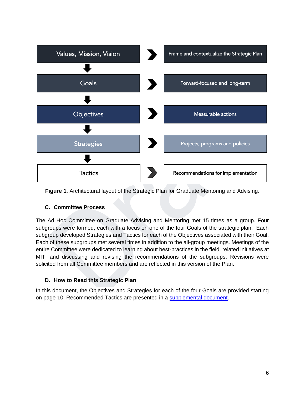

**Figure 1**. Architectural layout of the Strategic Plan for Graduate Mentoring and Advising.

## **C. Committee Process**

The Ad Hoc Committee on Graduate Advising and Mentoring met 15 times as a group*.* Four subgroups were formed, each with a focus on one of the four Goals of the strategic plan. Each subgroup developed Strategies and Tactics for each of the Objectives associated with their Goal. Each of these subgroups met several times in addition to the all-group meetings. Meetings of the entire Committee were dedicated to learning about best-practices in the field, related initiatives at MIT, and discussing and revising the recommendations of the subgroups. Revisions were solicited from all Committee members and are reflected in this version of the Plan.

# **D. How to Read this Strategic Plan**

In this document, the Objectives and Strategies for each of the four Goals are provided starting on page 10. Recommended Tactics are presented in a [supplemental document.](https://gradadvisingmentoring.mit.edu/sites/default/files/media/documents/2022-04/supplemental-document-to-the-draft-strategic-plan-for-graduate-advising-and-mentoring.pdf)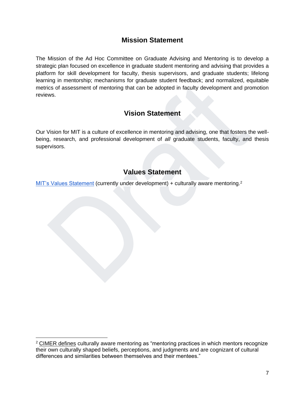# **Mission Statement**

<span id="page-6-0"></span>The Mission of the Ad Hoc Committee on Graduate Advising and Mentoring is to develop a strategic plan focused on excellence in graduate student mentoring and advising that provides a platform for skill development for faculty, thesis supervisors, and graduate students; lifelong learning in mentorship; mechanisms for graduate student feedback; and normalized, equitable metrics of assessment of mentoring that can be adopted in faculty development and promotion reviews.

# **Vision Statement**

Our Vision for MIT is a culture of excellence in mentoring and advising, one that fosters the wellbeing, research, and professional development of *all* graduate students, faculty, and thesis supervisors.

# **Values Statement**

[MIT's Values Statement](https://web.mit.edu/valuescomm-report/values-statement-report.pdf) (currently under development) + culturally aware mentoring.<sup>2</sup>

 $2$  [CIMER defines](https://cimerproject.org/culturally-aware-mentoring-resources-2/) culturally aware mentoring as "mentoring practices in which mentors recognize their own culturally shaped beliefs, perceptions, and judgments and are cognizant of cultural differences and similarities between themselves and their mentees."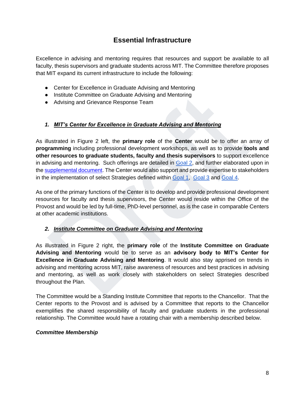# **Essential Infrastructure**

<span id="page-7-0"></span>Excellence in advising and mentoring requires that resources and support be available to all faculty, thesis supervisors and graduate students across MIT. The Committee therefore proposes that MIT expand its current infrastructure to include the following:

- Center for Excellence in Graduate Advising and Mentoring
- Institute Committee on Graduate Advising and Mentoring
- Advising and Grievance Response Team

# *1. MIT's Center for Excellence in Graduate Advising and Mentoring*

As illustrated in Figure 2 left, the **primary role** of the **Center** would be to offer an array of **programming** including professional development workshops, as well as to provide **tools and other resources to graduate students, faculty and thesis supervisors** to support excellence in advising and mentoring. Such offerings are detailed in [Goal 2,](#page-11-0) and further elaborated upon in the [supplemental](https://gradadvisingmentoring.mit.edu/sites/default/files/media/documents/2022-04/supplemental-document-to-the-draft-strategic-plan-for-graduate-advising-and-mentoring.pdf) document. The Center would also support and provide expertise to stakeholders in the implementation of select Strategies defined withi[n Goal 1,](#page-9-0) [Goal 3](#page-13-0) and [Goal 4](#page-15-0).

As one of the primary functions of the Center is to develop and provide professional development resources for faculty and thesis supervisors, the Center would reside within the Office of the Provost and would be led by full-time, PhD-level personnel, as is the case in comparable Centers at other academic institutions.

## *2. Institute Committee on Graduate Advising and Mentoring*

As illustrated in Figure 2 right, the **primary role** of the **Institute Committee on Graduate Advising and Mentoring** would be to serve as an **advisory body to MIT's Center for Excellence in Graduate Advising and Mentoring**. It would also stay apprised on trends in advising and mentoring across MIT, raise awareness of resources and best practices in advising and mentoring, as well as work closely with stakeholders on select Strategies described throughout the Plan.

The Committee would be a Standing Institute Committee that reports to the Chancellor. That the Center reports to the Provost and is advised by a Committee that reports to the Chancellor exemplifies the shared responsibility of faculty and graduate students in the professional relationship. The Committee would have a rotating chair with a membership described below.

## *Committee Membership*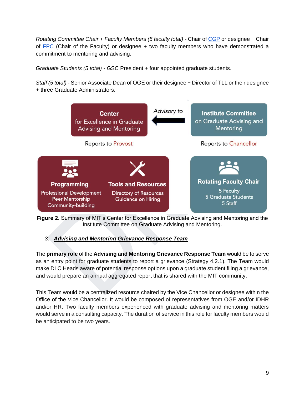<span id="page-8-0"></span>*Rotating Committee Chair + Faculty Members (5 faculty total) -* Chair of [CGP](https://oge.mit.edu/gpp/oversight/cgp/) or designee + Chair of  $FPC$  (Chair of the Faculty) or designee  $+$  two faculty members who have demonstrated a commitment to mentoring and advising.

*Graduate Students (5 total) -* GSC President + four appointed graduate students.

*Staff (5 total) -* Senior Associate Dean of OGE or their designee + Director of TLL or their designee + three Graduate Administrators.



**Figure 2**. Summary of MIT's Center for Excellence in Graduate Advising and Mentoring and the Institute Committee on Graduate Advising and Mentoring.

# *3. Advising and Mentoring Grievance Response Team*

The **primary role** of the **Advising and Mentoring Grievance Response Team** would be to serve as an entry point for graduate students to report a grievance (Strategy 4.2.1). The Team would make DLC Heads aware of potential response options upon a graduate student filing a grievance, and would prepare an annual aggregated report that is shared with the MIT community.

This Team would be a centralized resource chaired by the Vice Chancellor or designee within the Office of the Vice Chancellor. It would be composed of representatives from OGE and/or IDHR and/or HR. Two faculty members experienced with graduate advising and mentoring matters would serve in a consulting capacity. The duration of service in this role for faculty members would be anticipated to be two years.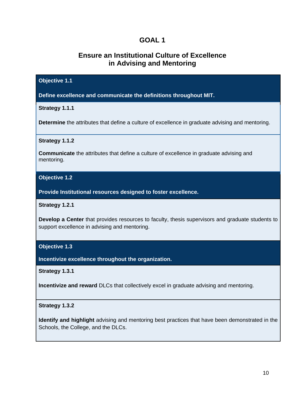# **Ensure an Institutional Culture of Excellence in Advising and Mentoring**

<span id="page-9-0"></span>

| <b>Objective 1.1</b>                                                                                                                                     |
|----------------------------------------------------------------------------------------------------------------------------------------------------------|
| Define excellence and communicate the definitions throughout MIT.                                                                                        |
| Strategy 1.1.1                                                                                                                                           |
| <b>Determine</b> the attributes that define a culture of excellence in graduate advising and mentoring.                                                  |
| Strategy 1.1.2                                                                                                                                           |
| <b>Communicate</b> the attributes that define a culture of excellence in graduate advising and<br>mentoring.                                             |
| <b>Objective 1.2</b>                                                                                                                                     |
| Provide Institutional resources designed to foster excellence.                                                                                           |
| Strategy 1.2.1                                                                                                                                           |
| <b>Develop a Center</b> that provides resources to faculty, thesis supervisors and graduate students to<br>support excellence in advising and mentoring. |
| <b>Objective 1.3</b>                                                                                                                                     |
| Incentivize excellence throughout the organization.                                                                                                      |
| Strategy 1.3.1                                                                                                                                           |
| Incentivize and reward DLCs that collectively excel in graduate advising and mentoring.                                                                  |
| <b>Strategy 1.3.2</b>                                                                                                                                    |
| <b>Identify and highlight</b> advising and mentoring best practices that have been demonstrated in the<br>Schools, the College, and the DLCs.            |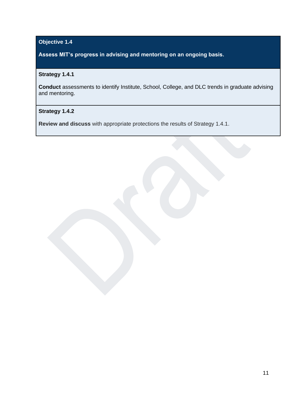# **Objective 1.4**

**Assess MIT's progress in advising and mentoring on an ongoing basis.** 

# **Strategy 1.4.1**

**Conduct** assessments to identify Institute, School, College, and DLC trends in graduate advising and mentoring.

## **Strategy 1.4.2**

**Review and discuss** with appropriate protections the results of Strategy 1.4.1.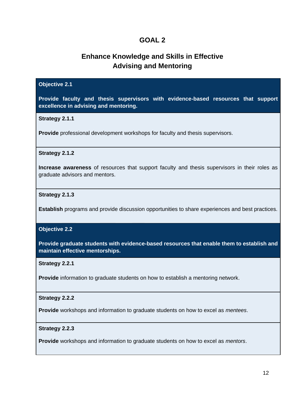# **Enhance Knowledge and Skills in Effective Advising and Mentoring**

<span id="page-11-0"></span>

| <b>Objective 2.1</b>                                                                                                            |
|---------------------------------------------------------------------------------------------------------------------------------|
| Provide faculty and thesis supervisors with evidence-based resources that support<br>excellence in advising and mentoring.      |
| <b>Strategy 2.1.1</b>                                                                                                           |
| <b>Provide</b> professional development workshops for faculty and thesis supervisors.                                           |
| <b>Strategy 2.1.2</b>                                                                                                           |
| Increase awareness of resources that support faculty and thesis supervisors in their roles as<br>graduate advisors and mentors. |
| Strategy 2.1.3                                                                                                                  |
| <b>Establish</b> programs and provide discussion opportunities to share experiences and best practices.                         |
| <b>Objective 2.2</b>                                                                                                            |
| Provide graduate students with evidence-based resources that enable them to establish and<br>maintain effective mentorships.    |
| <b>Strategy 2.2.1</b>                                                                                                           |
| <b>Provide</b> information to graduate students on how to establish a mentoring network.                                        |
| <b>Strategy 2.2.2</b>                                                                                                           |
| <b>Provide</b> workshops and information to graduate students on how to excel as <i>mentees</i> .                               |
| <b>Strategy 2.2.3</b>                                                                                                           |
| Provide workshops and information to graduate students on how to excel as <i>mentors</i> .                                      |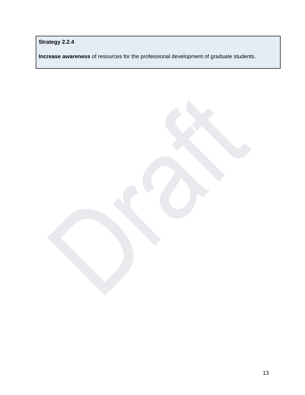**Strategy 2.2.4**

**Increase awareness** of resources for the professional development of graduate students.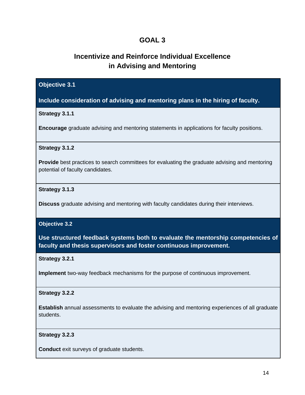# **Incentivize and Reinforce Individual Excellence in Advising and Mentoring**

## <span id="page-13-0"></span>**Objective 3.1**

**Include consideration of advising and mentoring plans in the hiring of faculty.**

#### **Strategy 3.1.1**

**Encourage** graduate advising and mentoring statements in applications for faculty positions.

#### **Strategy 3.1.2**

**Provide** best practices to search committees for evaluating the graduate advising and mentoring potential of faculty candidates.

#### **Strategy 3.1.3**

**Discuss** graduate advising and mentoring with faculty candidates during their interviews.

#### **Objective 3.2**

**Use structured feedback systems both to evaluate the mentorship competencies of faculty and thesis supervisors and foster continuous improvement.**

#### **Strategy 3.2.1**

**Implement** two-way feedback mechanisms for the purpose of continuous improvement.

#### **Strategy 3.2.2**

**Establish** annual assessments to evaluate the advising and mentoring experiences of all graduate students.

#### **Strategy 3.2.3**

**Conduct** exit surveys of graduate students.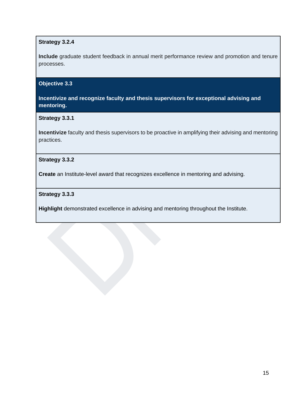## **Strategy 3.2.4**

**Include** graduate student feedback in annual merit performance review and promotion and tenure processes.

## **Objective 3.3**

**Incentivize and recognize faculty and thesis supervisors for exceptional advising and mentoring.**

## **Strategy 3.3.1**

**Incentivize** faculty and thesis supervisors to be proactive in amplifying their advising and mentoring practices.

## **Strategy 3.3.2**

**Create** an Institute-level award that recognizes excellence in mentoring and advising.

## **Strategy 3.3.3**

**Highlight** demonstrated excellence in advising and mentoring throughout the Institute.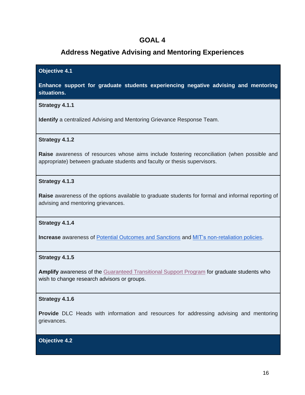# <span id="page-15-0"></span>**Address Negative Advising and Mentoring Experiences**

#### **Objective 4.1**

**Enhance support for graduate students experiencing negative advising and mentoring situations.**

#### **Strategy 4.1.1**

**Identify** a centralized Advising and Mentoring Grievance Response Team.

#### **Strategy 4.1.2**

**Raise** awareness of resources whose aims include fostering reconciliation (when possible and appropriate) between graduate students and faculty or thesis supervisors.

#### **Strategy 4.1.3**

**Raise** awareness of the options available to graduate students for formal and informal reporting of advising and mentoring grievances.

#### **Strategy 4.1.4**

**Increase** awareness of [Potential Outcomes and Sanctions](https://idhr.mit.edu/policies-procedures/faculty-outcomes) and [MIT's non-retaliation policies.](https://policies.mit.edu/policies-procedures/90-relations-and-responsibilities-within-mit-community/97-non-retaliation)

#### **Strategy 4.1.5**

**Amplify** awareness of the [Guaranteed Transitional Support Program](https://oge.mit.edu/finances/financial-assist/guaranteed-transitional-support/) for graduate students who wish to change research advisors or groups.

#### **Strategy 4.1.6**

**Provide** DLC Heads with information and resources for addressing advising and mentoring grievances.

**Objective 4.2**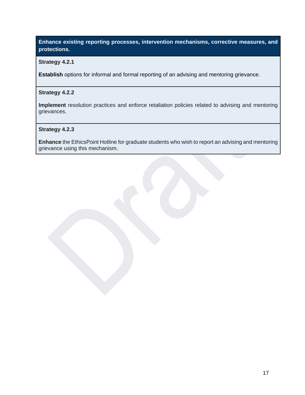# **Enhance existing reporting processes, intervention mechanisms, corrective measures, and protections.**

#### **Strategy 4.2.1**

**Establish** options for informal and formal reporting of an advising and mentoring grievance.

#### **Strategy 4.2.2**

**Implement** resolution practices and enforce retaliation policies related to advising and mentoring grievances.

**Strategy 4.2.3**

**Enhance** the EthicsPoint Hotline for graduate students who wish to report an advising and mentoring grievance using this mechanism.